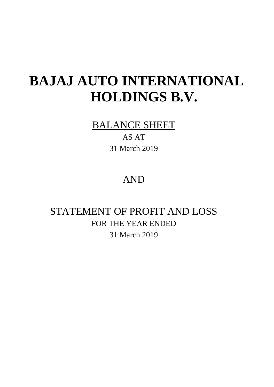# **BAJAJ AUTO INTERNATIONAL HOLDINGS B.V.**

### BALANCE SHEET

AS AT 31 March 2019

## AND

## STATEMENT OF PROFIT AND LOSS

FOR THE YEAR ENDED 31 March 2019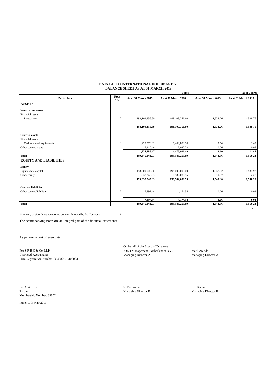### **BAJAJ AUTO INTERNATIONAL HOLDINGS B.V. BALANCE SHEET AS AT 31 MARCH 2019**

|                               |                    |                     | <b>Euros</b>        |                     | <b>Rs</b> in Crores |
|-------------------------------|--------------------|---------------------|---------------------|---------------------|---------------------|
| <b>Particulars</b>            | <b>Note</b><br>No. | As at 31 March 2019 | As at 31 March 2018 | As at 31 March 2019 | As at 31 March 2018 |
| <b>ASSETS</b>                 |                    |                     |                     |                     |                     |
| <b>Non-current assets</b>     |                    |                     |                     |                     |                     |
| Financial assets              |                    |                     |                     |                     |                     |
| Investments                   | $\overline{c}$     | 198,109,356.60      | 198,109,356.60      | 1,538.76            | 1,538.76            |
|                               |                    | 198.109.356.60      | 198.109.356.60      | 1,538.76            | 1,538.76            |
|                               |                    |                     |                     |                     |                     |
| <b>Current assets</b>         |                    |                     |                     |                     |                     |
| Financial assets              |                    |                     |                     |                     |                     |
| Cash and cash equivalents     | 3                  | 1,228,376.01        | 1,469,883.76        | 9.54                | 11.42               |
| Other current assets          | 4                  | 7,410.46            | 7,022.73            | 0.06                | 0.05                |
|                               |                    | 1,235,786.47        | 1,476,906.49        | 9.60                | 11.47               |
| <b>Total</b>                  |                    | 199,345,143.07      | 199,586,263.09      | 1,548.36            | 1,550.23            |
| <b>EQUITY AND LIABILITIES</b> |                    |                     |                     |                     |                     |
| <b>Equity</b>                 |                    |                     |                     |                     |                     |
| Equity share capital          | 5                  | 198,000,000.00      | 198,000,000.00      | 1,537.92            | 1,537.92            |
| Other equity                  | 6                  | 1,337,245.63        | 1,582,088.55        | 10.37               | 12.28               |
|                               |                    | 199, 337, 245.63    | 199,582,088.55      | 1,548.30            | 1,550.20            |
| <b>Current liabilities</b>    |                    |                     |                     |                     |                     |
| Other current liabilities     | $\overline{7}$     | 7,897.44            | 4,174.54            | 0.06                | 0.03                |
|                               |                    | 7,897.44            | 4,174.54            | 0.06                | 0.03                |
| <b>Total</b>                  |                    | 199,345,143.07      | 199,586,263.09      | 1.548.36            | 1,550.23            |

Summary of significant accounting policies followed by the Company 1

The accompanying notes are an integral part of the financial statements

As per our report of even date

Chartered Accountants Managing Director A Managing Director A Firm Registration Number: 324982E/E300003

On behalf of the Board of Directors For S R B C & Co LLP IQEQ Management (Netherlands) B.V. Mark Arends

- 1990 - 1990 - 1990 - 1990 - 1991 - 1992

per Arvind Sethi **S. Ravikumar** R.J. Knunz Partner Managing Director B Managing Director B Membership Number: 89802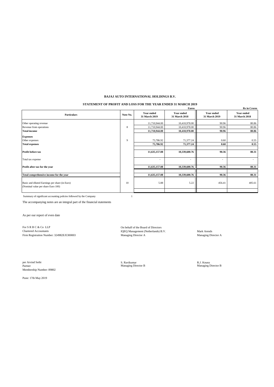### **BAJAJ AUTO INTERNATIONAL HOLDINGS B.V.**

### **STATEMENT OF PROFIT AND LOSS FOR THE YEAR ENDED 31 MARCH 2019**

|                                                                                      |          |                                    | <b>Euros</b>                       |                             | <b>Rs</b> in Crores         |
|--------------------------------------------------------------------------------------|----------|------------------------------------|------------------------------------|-----------------------------|-----------------------------|
| <b>Particulars</b>                                                                   | Note No. | <b>Year ended</b><br>31 March 2019 | <b>Year ended</b><br>31 March 2018 | Year ended<br>31 March 2019 | Year ended<br>31 March 2018 |
| Other operating revenue                                                              |          | 11,710,944.00                      | 10,410,978.00                      | 90.96                       | 80.86                       |
| Revenue from operations                                                              | 8        | 11,710,944.00                      | 10,410,978.00                      | 90.96                       | 80.86                       |
| <b>Total income</b>                                                                  |          | 11,710,944.00                      | 10,410,978.00                      | 90.96                       | 80.86                       |
| <b>Expenses</b>                                                                      |          |                                    |                                    |                             |                             |
| Other expenses                                                                       | 9        | 75,786.92                          | 71,377.24                          | 0.60                        | 0.55                        |
| <b>Total expenses</b>                                                                |          | 75,786.92                          | 71,377.24                          | 0.60                        | 0.55                        |
| <b>Profit before tax</b>                                                             |          | 11,635,157.08                      | 10,339,600.76                      | 90.36                       | 80.31                       |
| Total tax expense                                                                    |          | $\overline{\phantom{a}}$           | $\overline{\phantom{a}}$           | ٠                           |                             |
| Profit after tax for the year                                                        |          | 11,635,157.08                      | 10,339,600.76                      | 90.36                       | 80.31                       |
| Total comprehensive income for the year                                              |          | 11,635,157.08                      | 10,339,600.76                      | 90.36                       | 80.31                       |
|                                                                                      |          |                                    |                                    |                             |                             |
| Basic and diluted Earnings per share (in Euro)<br>(Nominal value per share Euro 100) | 10       | 5.88                               | 5.22                               | 456.41                      | 405.61                      |
|                                                                                      |          |                                    |                                    |                             |                             |

Summary of significant accounting policies followed by the Company 1

The accompanying notes are an integral part of the financial statements

As per our report of even date

For S R B C & Co LLP<br>
Chartered Accountants<br>
Chartered Accountants<br>
TQEQ Management (Netherlands) B.V. Chartered Accountants IQEQ Management (Netherlands) B.V. Mark Arends

Firm Registration Number: 324982E/E300003 Managing Director A Managing Director A Managing Director A

per Arvind Sethi **R.J. Knunz**<br>Partner Managing Director B Managing Director B Managing Director B Managing Director B Membership Number: 89802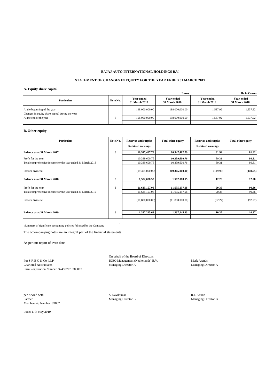### **BAJAJ AUTO INTERNATIONAL HOLDINGS B.V.**

### **STATEMENT OF CHANGES IN EQUITY FOR THE YEAR ENDED 31 MARCH 2019**

### **A. Equity share capital**

|                                                                                 |          |                                    | <b>Euros</b>                       |                                    | <b>Rs</b> in Crores                |
|---------------------------------------------------------------------------------|----------|------------------------------------|------------------------------------|------------------------------------|------------------------------------|
| <b>Particulars</b>                                                              | Note No. | <b>Year ended</b><br>31 March 2019 | <b>Year ended</b><br>31 March 2018 | <b>Year ended</b><br>31 March 2019 | <b>Year ended</b><br>31 March 2018 |
| At the beginning of the year<br>Changes in equity share capital during the year |          | 198,000,000.00                     | 198,000,000.00                     | 1.537.92                           | 1,537.92                           |
| At the end of the year                                                          |          | 198,000,000,00                     | 198,000,000.00                     | 1.537.92                           | 1,537.92                           |
|                                                                                 |          |                                    |                                    |                                    |                                    |

### **B. Other equity**

| <b>Particulars</b>                                          | Note No. | <b>Reserves and surplus</b> | <b>Total other equity</b> | <b>Reserves and surplus</b> | <b>Total other equity</b> |
|-------------------------------------------------------------|----------|-----------------------------|---------------------------|-----------------------------|---------------------------|
|                                                             |          | <b>Retained earnings</b>    |                           | <b>Retained earnings</b>    |                           |
| Balance as at 31 March 2017                                 | 6        | 10,547,487.79               | 10,547,487.79             | 81.92                       | 81.92                     |
| Profit for the year                                         |          | 10,339,600.76               | 10,339,600.76             | 80.31                       | 80.31                     |
| Total comprehensive income for the year ended 31 March 2018 |          | 10,339,600.76               | 10,339,600.76             | 80.31                       | 80.31                     |
| Interim dividend                                            |          | (19,305,000.00)             | (19,305,000.00)           | (149.95)                    | (149.95)                  |
| Balance as at 31 March 2018                                 | 6        | 1,582,088.55                | 1,582,088.55              | 12.28                       | 12.28                     |
| Profit for the year                                         | 6        | 11,635,157.08               | 11,635,157.08             | 90.36                       | 90.36                     |
| Total comprehensive income for the year ended 31 March 2019 |          | 11,635,157.08               | 11,635,157.08             | 90.36                       | 90.36                     |
| Interim dividend                                            |          | (11,880,000.00)             | (11,880,000.00)           | (92.27)                     | (92.27)                   |
| Balance as at 31 March 2019                                 | 6        | 1,337,245.63                | 1,337,245.63              | 10.37                       | 10.37                     |
|                                                             |          |                             |                           |                             |                           |

Summary of significant accounting policies followed by the Company **<sup>1</sup>**

The accompanying notes are an integral part of the financial statements

As per our report of even date

Firm Registration Number: 324982E/E300003

On behalf of the Board of Directors For S R B C & Co LLP<br>
The IQEQ Management (Netherlands) B.V.<br>
Mark Arends Managing Director A<br>
Managing Director A<br>
Managing Director A<br>
Managing Director A Chartered Accountants Managing Director A Managing Director A

per Arvind Sethi S. Ravikumar R.J. Knunz Partner Managing Director B Managing Director B Membership Number: 89802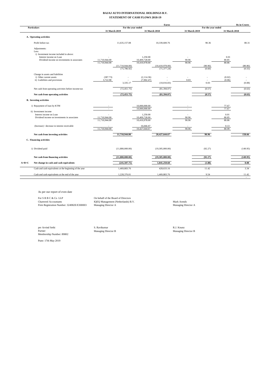### **BAJAJ AUTO INTERNATIONAL HOLDINGS B.V. STATEMENT OF CASH FLOWS 2018-19**

|         |                                                                                                                                             |                                |                                  |                                            | <b>Euros</b>                       |                      |                    |                        | <b>Rs</b> in Crores |
|---------|---------------------------------------------------------------------------------------------------------------------------------------------|--------------------------------|----------------------------------|--------------------------------------------|------------------------------------|----------------------|--------------------|------------------------|---------------------|
|         | <b>Particulars</b>                                                                                                                          | 31 March 2019                  | For the year ended               | 31 March 2018                              |                                    | 31 March 2019        | For the year ended | 31 March 2018          |                     |
|         |                                                                                                                                             |                                |                                  |                                            |                                    |                      |                    |                        |                     |
|         | A. Operating activities                                                                                                                     |                                |                                  |                                            |                                    |                      |                    |                        |                     |
|         | Profit before tax                                                                                                                           |                                | 11,635,157.08                    |                                            | 10,339,600.76                      |                      | 90.36              |                        | 80.31               |
|         | Adjustments:<br>Less:<br>i) Investment income included in above:<br>Interest income on Loan<br>Dividend income on investments in associates | 11,710,944.00<br>11,710,944.00 | (11,710,944.00)<br>(75, 786, 92) | 1,250.00<br>10,409,728.00<br>10,410,978.00 | (10, 410, 978.00)<br>(71, 377, 24) | 90.96<br>90.96       | (90.96)<br>(0.60)  | 0.01<br>80.85<br>80.86 | (80.86)<br>(0.55)   |
|         | Change in assets and liabilities<br>i) Other current assets<br>ii) Liabilities and provisions                                               | (387.73)<br>3,722.90           | 3,335.17                         | (2,114.36)<br>(7,902.47)                   | (10,016.83)                        | ÷.<br>0.03           | 0.03               | (0.02)<br>(0.06)       | (0.08)              |
|         | Net cash from operating activities before income-tax                                                                                        |                                | (72, 451.75)                     |                                            | (81, 394.07)                       |                      | (0.57)             |                        | (0.63)              |
|         | Net cash from operating activities                                                                                                          |                                | (72, 451.75)                     |                                            | (81, 394.07)                       |                      | (0.57)             |                        | (0.63)              |
|         | <b>B.</b> Investing activities                                                                                                              |                                |                                  |                                            |                                    |                      |                    |                        |                     |
|         | i) Repayment of loan by KTM                                                                                                                 |                                |                                  | 10,000,000.00<br>10,000,000.00             |                                    |                      |                    | 77.67<br>77.67         |                     |
|         | ii) Investment income<br>Interest income on Loan<br>Dividend income on investments in associates                                            | 11,710,944.00<br>11,710,944.00 |                                  | 1,250.00<br>10,409,728.00<br>10,410,978.00 |                                    | ÷,<br>90.96<br>90.96 |                    | 0.01<br>80.85<br>80.86 |                     |
|         | (Increase) / decrease in interest receivable                                                                                                | 11,710,944.00                  |                                  | 16,666.67<br>10,427,644.67                 |                                    | 90.96                |                    | 0.13<br>80.99          |                     |
|         | Net cash from investing activities                                                                                                          |                                | 11,710,944.00                    |                                            | 20,427,644.67                      |                      | 90.96              |                        | 158.66              |
|         | C. Financing activities                                                                                                                     |                                |                                  |                                            |                                    |                      |                    |                        |                     |
|         | i) Dividend paid                                                                                                                            |                                | (11,880,000.00)                  |                                            | (19,305,000.00)                    |                      | (92.27)            |                        | (149.95)            |
|         | Net cash from financing activities                                                                                                          |                                | (11.880.000.00)                  |                                            | (19.305,000.00)                    |                      | (92.27)            |                        | (149.95)            |
| $A+B+C$ | Net change in cash and cash equivalents                                                                                                     |                                | (241, 507.75)                    |                                            | 1,041,250.60                       |                      | (1.88)             |                        | 8.08                |
|         | Cash and cash equivalents at the beginning of the year                                                                                      |                                | 1,469,883.76                     |                                            | 428,633.16                         |                      | 11.42              |                        | 3.34                |
|         | Cash and cash equivalents at the end of the year                                                                                            |                                | 1,228,376.01                     |                                            | 1.469.883.76                       |                      | 9.54               |                        | 11.42               |

As per our report of even date

For S R B C & Co LLP 0n behalf of the Board of Directors<br>Chartered Accountants 1QEQ Management (Netherlands) B.V.<br>Firm Registration Number: 324982E/E300003 Managing Director A Chartered Accountants IQEQ Management (Netherlands) B.V. Mark Arends Managing Director A<br>Firm Registration Number: 324982E/E300003 Managing Director A

per Arvind Sethi Managing Director B<br>Partner Managing Director Managing Director B<br>Membership Number: 89802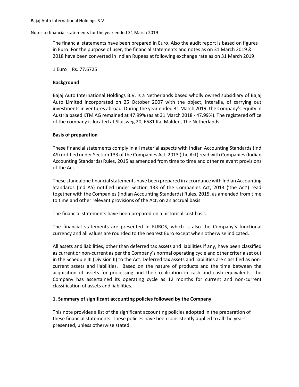The financial statements have been prepared in Euro. Also the audit report is based on figures in Euro. For the purpose of user, the financial statements and notes as on 31 March 2019 & 2018 have been converted in Indian Rupees at following exchange rate as on 31 March 2019.

1 Euro = Rs. 77.6725

### **Background**

Bajaj Auto International Holdings B.V. is a Netherlands based wholly owned subsidiary of Bajaj Auto Limited incorporated on 25 October 2007 with the object, interalia, of carrying out investments in ventures abroad. During the year ended 31 March 2019, the Company's equity in Austria based KTM AG remained at 47.99% (as at 31 March 2018 - 47.99%). The registered office of the company is located at Sluisweg 20, 6581 Ka, Malden, The Netherlands.

### **Basis of preparation**

These financial statements comply in all material aspects with Indian Accounting Standards (Ind AS) notified under Section 133 of the Companies Act, 2013 (the Act) read with Companies (Indian Accounting Standards) Rules, 2015 as amended from time to time and other relevant provisions of the Act.

These standalone financial statements have been prepared in accordance with Indian Accounting Standards (Ind AS) notified under Section 133 of the Companies Act, 2013 ('the Act') read together with the Companies (Indian Accounting Standards) Rules, 2015, as amended from time to time and other relevant provisions of the Act, on an accrual basis.

The financial statements have been prepared on a historical cost basis.

The financial statements are presented in EUROS, which is also the Company's functional currency and all values are rounded to the nearest Euro except when otherwise indicated.

All assets and liabilities, other than deferred tax assets and liabilities if any, have been classified as current or non-current as per the Company's normal operating cycle and other criteria set out in the Schedule III (Division II) to the Act. Deferred tax assets and liabilities are classified as noncurrent assets and liabilities. Based on the nature of products and the time between the acquisition of assets for processing and their realization in cash and cash equivalents, the Company has ascertained its operating cycle as 12 months for current and non-current classification of assets and liabilities.

### **1. Summary of significant accounting policies followed by the Company**

This note provides a list of the significant accounting policies adopted in the preparation of these financial statements. These policies have been consistently applied to all the years presented, unless otherwise stated.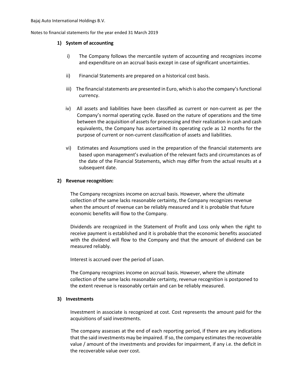### **1) System of accounting**

- i) The Company follows the mercantile system of accounting and recognizes income and expenditure on an accrual basis except in case of significant uncertainties.
- ii) Financial Statements are prepared on a historical cost basis.
- iii) The financial statements are presented in Euro, which is also the company's functional currency.
- iv) All assets and liabilities have been classified as current or non-current as per the Company's normal operating cycle. Based on the nature of operations and the time between the acquisition of assets for processing and their realization in cash and cash equivalents, the Company has ascertained its operating cycle as 12 months for the purpose of current or non-current classification of assets and liabilities.
- vi) Estimates and Assumptions used in the preparation of the financial statements are based upon management's evaluation of the relevant facts and circumstances as of the date of the Financial Statements, which may differ from the actual results at a subsequent date.

### **2) Revenue recognition:**

The Company recognizes income on accrual basis. However, where the ultimate collection of the same lacks reasonable certainty, the Company recognizes revenue when the amount of revenue can be reliably measured and it is probable that future economic benefits will flow to the Company.

Dividends are recognized in the Statement of Profit and Loss only when the right to receive payment is established and it is probable that the economic benefits associated with the dividend will flow to the Company and that the amount of dividend can be measured reliably.

Interest is accrued over the period of Loan.

The Company recognizes income on accrual basis. However, where the ultimate collection of the same lacks reasonable certainty, revenue recognition is postponed to the extent revenue is reasonably certain and can be reliably measured.

### **3) Investments**

Investment in associate is recognized at cost. Cost represents the amount paid for the acquisitions of said investments.

The company assesses at the end of each reporting period, if there are any indications that the said investments may be impaired. If so, the company estimates the recoverable value / amount of the investments and provides for impairment, if any i.e. the deficit in the recoverable value over cost.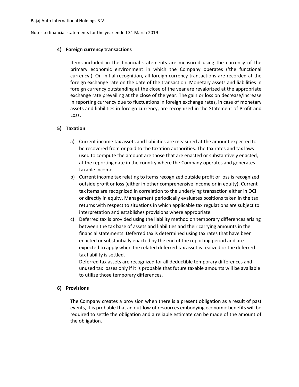### **4) Foreign currency transactions**

Items included in the financial statements are measured using the currency of the primary economic environment in which the Company operates ('the functional currency'). On initial recognition, all foreign currency transactions are recorded at the foreign exchange rate on the date of the transaction. Monetary assets and liabilities in foreign currency outstanding at the close of the year are revalorized at the appropriate exchange rate prevailing at the close of the year. The gain or loss on decrease/increase in reporting currency due to fluctuations in foreign exchange rates, in case of monetary assets and liabilities in foreign currency, are recognized in the Statement of Profit and Loss.

### **5) Taxation**

- a) Current income tax assets and liabilities are measured at the amount expected to be recovered from or paid to the taxation authorities. The tax rates and tax laws used to compute the amount are those that are enacted or substantively enacted, at the reporting date in the country where the Company operates and generates taxable income.
- b) Current income tax relating to items recognized outside profit or loss is recognized outside profit or loss (either in other comprehensive income or in equity). Current tax items are recognized in correlation to the underlying transaction either in OCI or directly in equity. Management periodically evaluates positions taken in the tax returns with respect to situations in which applicable tax regulations are subject to interpretation and establishes provisions where appropriate.
- c) Deferred tax is provided using the liability method on temporary differences arising between the tax base of assets and liabilities and their carrying amounts in the financial statements. Deferred tax is determined using tax rates that have been enacted or substantially enacted by the end of the reporting period and are expected to apply when the related deferred tax asset is realized or the deferred tax liability is settled.

Deferred tax assets are recognized for all deductible temporary differences and unused tax losses only if it is probable that future taxable amounts will be available to utilize those temporary differences.

### **6) Provisions**

The Company creates a provision when there is a present obligation as a result of past events, it is probable that an outflow of resources embodying economic benefits will be required to settle the obligation and a reliable estimate can be made of the amount of the obligation.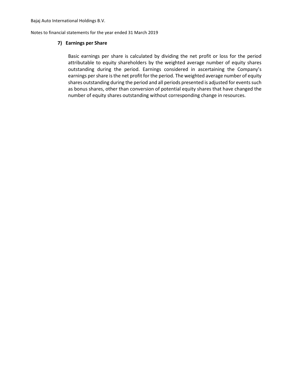Notes to financial statements for the year ended 31 March 2019

### **7) Earnings per Share**

Basic earnings per share is calculated by dividing the net profit or loss for the period attributable to equity shareholders by the weighted average number of equity shares outstanding during the period. Earnings considered in ascertaining the Company's earnings per share is the net profit for the period. The weighted average number of equity shares outstanding during the period and all periods presented is adjusted for events such as bonus shares, other than conversion of potential equity shares that have changed the number of equity shares outstanding without corresponding change in resources.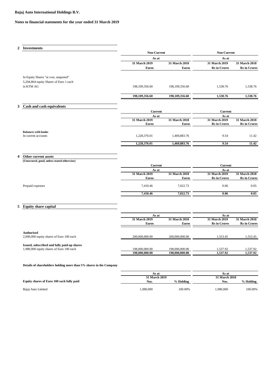### **Notes to financial statements for the year ended 31 March 2019**

| 2                | <b>Investments</b>                                                                      |                                  |                                  |                                      |                                      |
|------------------|-----------------------------------------------------------------------------------------|----------------------------------|----------------------------------|--------------------------------------|--------------------------------------|
|                  |                                                                                         | Non-Current                      |                                  | Non-Current                          |                                      |
|                  |                                                                                         | As at                            |                                  | As at                                |                                      |
|                  |                                                                                         | 31 March 2019                    | 31 March 2018                    | 31 March 2019                        | 31 March 2018                        |
|                  |                                                                                         | <b>Euros</b>                     | <b>Euros</b>                     | <b>Rs</b> in Crores                  | <b>Rs</b> in Crores                  |
|                  | In Equity Shares "at cost, unquoted"                                                    |                                  |                                  |                                      |                                      |
|                  | 5,204,864 equity Shares of Euro 1 each                                                  |                                  |                                  |                                      |                                      |
|                  | in KTM AG                                                                               | 198,109,356.60                   | 198, 109, 356.60                 | 1,538.76                             | 1,538.76                             |
|                  |                                                                                         |                                  |                                  |                                      |                                      |
|                  |                                                                                         | 198,109,356.60                   | 198,109,356.60                   | 1,538.76                             | 1,538.76                             |
|                  |                                                                                         |                                  |                                  |                                      |                                      |
| 3                | Cash and cash equivalents                                                               |                                  |                                  |                                      |                                      |
|                  |                                                                                         | Current                          |                                  | <b>Current</b>                       |                                      |
|                  |                                                                                         | As at<br>31 March 2019           | 31 March 2018                    | As at<br>31 March 2019               | 31 March 2018                        |
|                  |                                                                                         | <b>Euros</b>                     | <b>Euros</b>                     | <b>Rs</b> in Crores                  | <b>Rs</b> in Crores                  |
|                  |                                                                                         |                                  |                                  |                                      |                                      |
|                  | <b>Balances with banks</b><br>In current accounts                                       | 1,228,376.01                     | 1,469,883.76                     | 9.54                                 | 11.42                                |
|                  |                                                                                         |                                  |                                  |                                      |                                      |
|                  |                                                                                         | 1,228,376.01                     | 1,469,883.76                     | 9.54                                 | 11.42                                |
|                  |                                                                                         |                                  |                                  |                                      |                                      |
|                  |                                                                                         |                                  |                                  |                                      |                                      |
|                  |                                                                                         |                                  |                                  |                                      |                                      |
| $\boldsymbol{4}$ | Other current assets                                                                    |                                  |                                  |                                      |                                      |
|                  | (Unsecured, good, unless stated otherwise)                                              |                                  |                                  |                                      |                                      |
|                  |                                                                                         | <b>Current</b><br>As at          |                                  | <b>Current</b><br>As at              |                                      |
|                  |                                                                                         | 31 March 2019                    | 31 March 2018                    | 31 March 2019                        | 31 March 2018                        |
|                  |                                                                                         | <b>Euros</b>                     | <b>Euros</b>                     | <b>Rs</b> in Crores                  | <b>Rs</b> in Crores                  |
|                  | Prepaid expenses                                                                        | 7,410.46                         | 7,022.73                         | 0.06                                 | 0.05                                 |
|                  |                                                                                         |                                  |                                  |                                      |                                      |
|                  |                                                                                         | 7,410.46                         | 7,022.73                         | 0.06                                 | 0.05                                 |
|                  |                                                                                         |                                  |                                  |                                      |                                      |
| 5                | <b>Equity share capital</b>                                                             |                                  |                                  |                                      |                                      |
|                  |                                                                                         |                                  |                                  |                                      |                                      |
|                  |                                                                                         | As at                            |                                  | As at                                |                                      |
|                  |                                                                                         | 31 March 2019<br><b>Euros</b>    | 31 March 2018<br><b>Euros</b>    | 31 March 2019<br><b>Rs</b> in Crores | 31 March 2018<br><b>Rs</b> in Crores |
|                  |                                                                                         |                                  |                                  |                                      |                                      |
|                  | <b>Authorised</b>                                                                       |                                  |                                  |                                      |                                      |
|                  | 2,000,000 equity shares of Euro 100 each                                                | 200,000,000.00                   | 200,000,000.00                   | 1,553.45                             | 1,553.45                             |
|                  |                                                                                         |                                  |                                  |                                      |                                      |
|                  | Issued, subscribed and fully paid-up shares<br>1,980,000 equity shares of Euro 100 each | 198,000,000.00<br>198,000,000.00 | 198,000,000.00<br>198,000,000.00 | 1,537.92<br>1,537.92                 | 1,537.92<br>1,537.92                 |

|                                           | As at    |               | As at    |                      |  |
|-------------------------------------------|----------|---------------|----------|----------------------|--|
|                                           |          | 31 March 2019 |          | <b>31 March 2018</b> |  |
| Equity shares of Euro 100 each fully paid | Nos.     | % Holding     | Nos.     | % Holding            |  |
| Bajaj Auto Limited                        | .980.000 | 100.00%       | .980.000 | 100.00%              |  |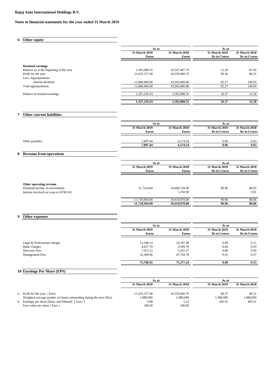### **6 Other equity**

|                                         | As at<br>31 March 2019   | 31 March 2018            | As at<br>31 March 2019 | 31 March 2018       |
|-----------------------------------------|--------------------------|--------------------------|------------------------|---------------------|
|                                         | <b>Euros</b>             | <b>Euros</b>             | <b>Rs</b> in Crores    | <b>Rs</b> in Crores |
| <b>Retained earnings</b>                |                          |                          |                        |                     |
| Balance as at the beginning of the year | 1,582,088.55             | 10,547,487.79            | 12.28                  | 81.92               |
| Profit for the year                     | 11,635,157.08            | 10,339,600.76            | 90.36                  | 80.31               |
| Less: Appropriations                    | $\overline{\phantom{a}}$ | $\overline{\phantom{a}}$ |                        |                     |
| Interim dividend                        | 11,880,000.00            | 19,305,000.00            | 92.27                  | 149.95              |
| Total appropriations                    | 11.880.000.00            | 19,305,000.00            | 92.27                  | 149.95              |
| Balance in retained earnings            | 1,337,245.63             | 1.582.088.55             | 10.37                  | 12.28               |
|                                         | 1,337,245.63             | 1.582.088.55             | 10.37                  | 12.28               |

### **7 Other current liabilities**

| <b>31 March 2019</b> | <b>31 March 2018</b> | 31 March 2019       | 31 March 2018       |
|----------------------|----------------------|---------------------|---------------------|
|                      |                      |                     |                     |
| <b>Euros</b>         | <b>Euros</b>         | <b>Rs</b> in Crores | <b>Rs</b> in Crores |
|                      |                      |                     |                     |
| 7.897.44             | 4,174.54             | 0.06                | 0.03                |
| 7.897.44             | 4,174.54             | 0.06                | 0.03                |
|                      |                      |                     |                     |

### **8 Revenue from operations**

|                                                                                                  | As at                                  |                           | As at                             |                      |
|--------------------------------------------------------------------------------------------------|----------------------------------------|---------------------------|-----------------------------------|----------------------|
|                                                                                                  | 31 March 2019                          | <b>31 March 2018</b>      | 31 March 2019                     | <b>31 March 2018</b> |
|                                                                                                  | <b>Euros</b>                           | <b>Euros</b>              | <b>Rs</b> in Crores               | <b>Rs</b> in Crores  |
| Other operating revenue<br>Dividend income on investments<br>Interest received on Loan to KTM AG | 11,710,944<br>$\overline{\phantom{a}}$ | 10,409,728.00<br>1,250.00 | 90.96<br>$\overline{\phantom{a}}$ | 80.85<br>0.01        |
|                                                                                                  | 11,710,944.00                          | 10,410,978.00             | 90.96                             | 80.86                |
|                                                                                                  | 11,710,944.00                          | 10,410,978.00             | 90.96                             | 80.86                |

### **9 Other expenses**

|                              |                                      | As at                         |                                      |                                             |
|------------------------------|--------------------------------------|-------------------------------|--------------------------------------|---------------------------------------------|
|                              | <b>31 March 2019</b><br><b>Euros</b> | 31 March 2018<br><b>Euros</b> | 31 March 2019<br><b>Rs</b> in Crores | <b>31 March 2018</b><br><b>Rs</b> in Crores |
| Legal & Professional charges | 11,346.14                            | 14,787.49                     | 0.09                                 | 0.11                                        |
| <b>Bank Charges</b>          | 4,657.70                             | 3,599.70                      | 0.04                                 | 0.03                                        |
| Directors Fees               | 7,413.12                             | 5,261.27                      | 0.06                                 | 0.04                                        |
| <b>Management Fees</b>       | 52,369.96                            | 47.728.78                     | 0.41                                 | 0.37                                        |
|                              | 75,786.92                            | 71,377,24                     | 0.60                                 | 0.55                                        |

### **10 Earnings Per Share (EPS)**

|                                                                                  | As at          |                | As at         |               |
|----------------------------------------------------------------------------------|----------------|----------------|---------------|---------------|
|                                                                                  | 31 March 2019  | 31 March 2018  | 31 March 2019 | 31 March 2018 |
| a. Profit for the year (Euro)                                                    | 11.635.157.08  | 10.339,600.76  | 90.37         | 80.31         |
| Weighted average number of shares outstanding during the year (Nos)              | 1,980,000      | 1,980,000      | 1,980,000     | 1.980.000     |
| b. Earnings per share (Basic and Diluted) [Euro ]<br>Face value per share (Euro) | 5.88<br>100.00 | 5.22<br>100.00 | 456.41        | 405.61        |
|                                                                                  |                |                |               |               |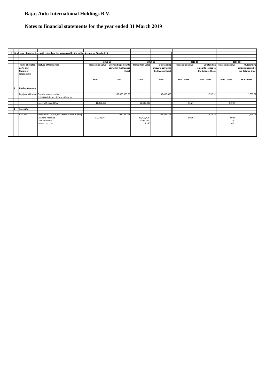### **Notes to financial statements for the year ended 31 March 2019**

|    |                        | 11 Disclosure of transactions with related parties as required by the Indian Accounting Standard 24 |                          |                            |                          |                    |                          |                     |                          |                     |
|----|------------------------|-----------------------------------------------------------------------------------------------------|--------------------------|----------------------------|--------------------------|--------------------|--------------------------|---------------------|--------------------------|---------------------|
|    |                        |                                                                                                     |                          |                            |                          |                    |                          |                     |                          |                     |
|    |                        |                                                                                                     |                          |                            |                          |                    |                          |                     |                          |                     |
|    |                        |                                                                                                     |                          | 2018-19                    |                          | 2017-18            |                          | 2018-19             |                          | 2017-18             |
|    | Name of related        | <b>Nature of transaction</b>                                                                        | <b>Transaction value</b> | <b>Outstanding amounts</b> | <b>Transaction value</b> | <b>Outstanding</b> | <b>Transaction value</b> | Outstanding         | <b>Transaction value</b> | Outstanding         |
|    | party and              |                                                                                                     |                          | carried in the Balance     |                          | amounts carried in |                          | amounts carried in  |                          | amounts carried in  |
|    | Nature of              |                                                                                                     |                          | Sheet                      |                          | the Balance Sheet  |                          | the Balance Sheet   |                          | the Balance Sheet   |
|    | relationship           |                                                                                                     |                          |                            |                          |                    |                          |                     |                          |                     |
|    |                        |                                                                                                     |                          |                            |                          |                    |                          |                     |                          |                     |
|    |                        |                                                                                                     | Euro                     | Euro                       | Euro                     | Euro               | <b>Rs in Crores</b>      | <b>Rs in Crores</b> | <b>Rs in Crores</b>      | <b>Rs in Crores</b> |
|    |                        |                                                                                                     |                          |                            |                          |                    |                          |                     |                          |                     |
|    |                        |                                                                                                     |                          |                            |                          |                    |                          |                     |                          |                     |
| A  | <b>Holding Company</b> |                                                                                                     |                          |                            |                          |                    |                          |                     |                          |                     |
|    |                        |                                                                                                     |                          |                            |                          |                    |                          |                     |                          |                     |
|    |                        | Bajaj Auto Limited Contribution to equity                                                           |                          | 198,000,000.00             |                          | 198,000,000        |                          | 1,537.92            |                          | 1,537.92            |
|    |                        | (1.980.000 shares of Euro 100 each)                                                                 |                          |                            |                          |                    |                          |                     |                          |                     |
|    |                        |                                                                                                     |                          |                            |                          |                    |                          |                     |                          |                     |
|    |                        | Interim Dividend Paid                                                                               | 11,880,000               |                            | 19,305,000               |                    | 92.27                    |                     | 149.95                   |                     |
|    |                        |                                                                                                     |                          |                            |                          |                    |                          |                     |                          |                     |
| lв | Associate              |                                                                                                     |                          |                            |                          |                    |                          |                     |                          |                     |
|    |                        |                                                                                                     |                          |                            |                          |                    |                          |                     |                          |                     |
|    | KTM AG                 | Investment [ 5,204,864 Shares of Euro 1 each]                                                       |                          | 198,109,357                |                          | 198,109,357        |                          | 1.538.76            |                          | 1.538.76            |
|    |                        | Dividend Received                                                                                   | 11,710,944               |                            | 10,409,728               |                    | 90.96                    |                     | 80.85                    |                     |
|    |                        | Loan refunded                                                                                       |                          |                            | 10,000,000               |                    |                          |                     | 77.67                    |                     |
|    |                        | Interest on Loan                                                                                    |                          |                            | 1,250                    |                    |                          |                     | 0.01                     |                     |
|    |                        |                                                                                                     |                          |                            |                          |                    |                          |                     |                          |                     |
|    |                        |                                                                                                     |                          |                            |                          |                    |                          |                     |                          |                     |
|    |                        |                                                                                                     |                          |                            |                          |                    |                          |                     |                          |                     |
|    |                        |                                                                                                     |                          |                            |                          |                    |                          |                     |                          |                     |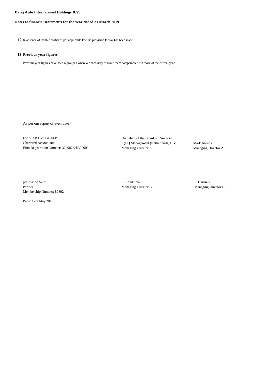### **Notes to financial statements for the year ended 31 March 2019**

**12** In absence of taxable profits as per applicable law, no provision for tax has been made

### **13 Previous year figures**

Previous year figures have been regrouped wherever necessary to make them comparable with those of the current year.

As per our report of even date

For S R B C & Co LLP On behalf of the Board of Directors Chartered Accountants IQEQ Management (Netherlands) B.V. Mark Arends Firm Registration Number: 324982E/E300003 Managing Director A Managing Director A

per Arvind Sethi S. Ravikumar R.J. Knunz Partner Managing Director B Managing Director B Managing Director B Membership Number: 89802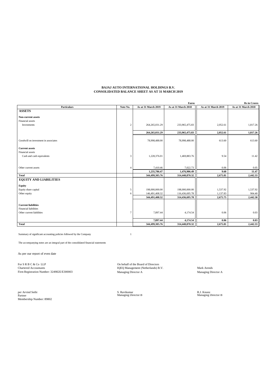#### **BAJAJ AUTO INTERNATIONAL HOLDINGS B.V. CONSOLIDATED BALANCE SHEET AS AT 31 MARCH 2019**

|                                      |                |                     | Euros               |                     | <b>Rs</b> in Crores |
|--------------------------------------|----------------|---------------------|---------------------|---------------------|---------------------|
| <b>Particulars</b>                   | Note No.       | As at 31 March 2019 | As at 31 March 2018 | As at 31 March 2019 | As at 31 March 2018 |
| <b>ASSETS</b>                        |                |                     |                     |                     |                     |
| Non-current assets                   |                |                     |                     |                     |                     |
| Financial assets                     |                |                     |                     |                     |                     |
| Investments                          | $\overline{c}$ | 264, 265, 031.29    | 233,965,475.83      | 2,052.61            | 1,817.26            |
|                                      |                | 264,265,031.29      | 233,965,475.83      | 2,052.61            | 1,817.26            |
| Goodwill on investment in associates |                | 78,998,488.00       | 78,998,488.00       | 613.60              | 613.60              |
|                                      |                |                     |                     |                     |                     |
| <b>Current assets</b>                |                |                     |                     |                     |                     |
| Financial assets                     |                |                     |                     |                     |                     |
| Cash and cash equivalents            | 3              | 1,228,376.01        | 1,469,883.76        | 9.54                | 11.42               |
|                                      |                |                     |                     |                     |                     |
| Other current assets                 | $\overline{4}$ | 7,410.46            | 7,022.73            | 0.06                | 0.05                |
|                                      |                | 1,235,786.47        | 1,476,906.49        | 9.60                | 11.47               |
| <b>Total</b>                         |                | 344,499,305.76      | 314,440,870.32      | 2,675.81            | 2,442.33            |
| <b>EQUITY AND LIABILITIES</b>        |                |                     |                     |                     |                     |
| Equity                               |                |                     |                     |                     |                     |
| Equity share capital                 | 5              | 198,000,000.00      | 198,000,000.00      | 1,537.92            | 1,537.92            |
| Other equity                         | 6              | 146,491,408.32      | 116,436,695.78      | 1,137.83            | 904.40              |
|                                      |                | 344,491,408.32      | 314,436,695.78      | 2,675.75            | 2,442.30            |
| <b>Current liabilities</b>           |                |                     |                     |                     |                     |
| <b>Financial liabilities</b>         |                |                     |                     |                     |                     |
| Other current liabilities            | $\tau$         | 7,897.44            | 4,174.54            | 0.06                | 0.03                |
|                                      |                | 7,897.44            | 4,174.54            | 0.06                | 0.03                |
| <b>Total</b>                         |                | 344,499,305.76      | 314,440,870.32      | 2,675.81            | 2,442.33            |

Summary of significant accounting policies followed by the Company 1

The accompanying notes are an integral part of the consolidated financial statements

As per our report of even date

For S R B C & Co LLP<br>Chartered Accountants Mark Arends (Netherlands) B.V. Mark Arends (Netherlands) B.V. Mark Arends Firm Registration Number: 324982E/E300003 Managing Director A Managing Director A

per Arvind Sethi S. Ravikumar R.J. Knunz Partner Managing Director B Managing Director B per Arvind Sethi<br>Partner<br>Membership Number: 89802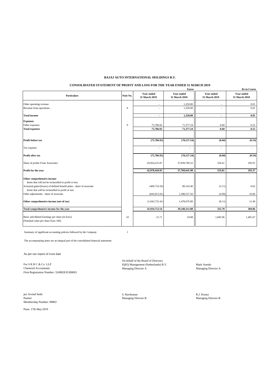### **BAJAJ AUTO INTERNATIONAL HOLDINGS B.V.**

### **CONSOLIDATED STATEMENT OF PROFIT AND LOSS FOR THE YEAR ENDED 31 MARCH 2019**

|                                                                                                                             |             |                                    | <b>Euros</b>                       |                                    | <b>Rs</b> in Crores                |
|-----------------------------------------------------------------------------------------------------------------------------|-------------|------------------------------------|------------------------------------|------------------------------------|------------------------------------|
| <b>Particulars</b>                                                                                                          | Note No.    | <b>Year ended</b><br>31 March 2019 | <b>Year ended</b><br>31 March 2018 | <b>Year ended</b><br>31 March 2019 | <b>Year ended</b><br>31 March 2018 |
| Other operating revenue                                                                                                     |             | ٠                                  | 1,250.00                           | ٠                                  | 0.01                               |
| Revenue from operations                                                                                                     | $\,$ 8 $\,$ | ÷,                                 | 1,250.00                           | ä,                                 | 0.01                               |
| <b>Total income</b>                                                                                                         |             | $\blacksquare$                     | 1,250.00                           | $\overline{\phantom{a}}$           | 0.01                               |
| <b>Expenses</b>                                                                                                             |             |                                    |                                    |                                    |                                    |
| Other expenses                                                                                                              | 9           | 75,786.92                          | 71,377.24                          | 0.60                               | 0.55                               |
| <b>Total expenses</b>                                                                                                       |             | 75,786.92                          | 71,377.24                          | 0.60                               | 0.55                               |
|                                                                                                                             |             |                                    |                                    |                                    |                                    |
| Profit before tax                                                                                                           |             | (75, 786.92)                       | (70, 127.24)                       | (0.60)                             | (0.54)                             |
| Tax expense                                                                                                                 |             |                                    | $\overline{a}$                     | $\overline{a}$                     | ÷                                  |
| Profit after tax                                                                                                            |             | (75, 786.92)                       | (70, 127.24)                       | (0.60)                             | (0.54)                             |
| Share of profits From Associates                                                                                            |             | 43,054,231.87                      | 37,839,769.22                      | 334.41                             | 293.91                             |
| Profit for the year                                                                                                         |             | 42,978,444.95                      | 37,769,641.98                      | 333.81                             | 293.37                             |
| Other comprehensive income                                                                                                  |             |                                    |                                    |                                    |                                    |
| Items that will not be reclassified to profit or loss                                                                       |             |                                    |                                    |                                    |                                    |
| Actuarial gains/(losses) of defined benefit plans - share of associate<br>Items that will be reclassified to profit or loss |             | (400, 716.50)                      | 80,143.40                          | (3.11)                             | 0.62                               |
| Other adjustments - share of associate                                                                                      |             | (643, 015.91)                      | 1,398,527.50                       | (4.99)                             | 10.86                              |
| Other comprehensive income (net of tax)                                                                                     |             | (1,043,732.41)                     | 1,478,670.90                       | (8.11)                             | 11.49                              |
| Total comprehensive income for the year                                                                                     |             | 41,934,712.54                      | 39,248,312.88                      | 325.70                             | 304.86                             |
| Basic and diluted Earnings per share (in Euro)<br>(Nominal value per share Euro 100)                                        | 10          | 21.71                              | 19.08                              | 1,685.96                           | 1,481.67                           |

Summary of significant accounting policies followed by the Company 1

The accompanying notes are an integral part of the consolidated financial statements

As per our report of even date

For S R B C & Co LLP<br>
IQEQ Management (Netherlands) B.V.<br>
Managing Director A<br>
Managing Director A<br>
Managing Director A<br>
Managing Director A  $Chartered$   $Acc$ ountants Firm Registration Number: 324982E/E300003

Per Arvind Sethi **Samuel Sethi S. Ravikumar S. Ravikumar** S. Ravikumar **R.J. Knunz** R.J. Knunz<br>Partner Managing Director B Managing Director B Managing Director B Managing Director B Membership Number: 89802

Pune: 17th May 2019

On behalf of the Board of Directors

Managing Director B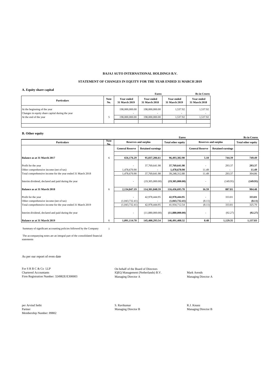### **BAJAJ AUTO INTERNATIONAL HOLDINGS B.V.**

### **STATEMENT OF CHANGES IN EQUITY FOR THE YEAR ENDED 31 MARCH 2019**

### **A. Equity share capital**

|                                                                                 |                    |                                    | <b>Euros</b>                |                                    | <b>Rs</b> in Crores                |
|---------------------------------------------------------------------------------|--------------------|------------------------------------|-----------------------------|------------------------------------|------------------------------------|
| <b>Particulars</b>                                                              | <b>Note</b><br>No. | <b>Year ended</b><br>31 March 2019 | Year ended<br>31 March 2018 | <b>Year ended</b><br>31 March 2019 | <b>Year ended</b><br>31 March 2018 |
| At the beginning of the year<br>Changes in equity share capital during the year |                    | 198,000,000,00                     | 198,000,000,00              | 1.537.92<br>-                      | 1,537.92                           |
| At the end of the year                                                          |                    | 198,000,000,00                     | 198,000,000,00              | 1.537.92                           | 1,537.92                           |
|                                                                                 |                    |                                    |                             |                                    |                                    |
|                                                                                 |                    |                                    |                             |                                    |                                    |

### **B. Other equity**

|                                                                | <b>Euros</b>       |                          |                             |                                 |                             |                          |                           |  |
|----------------------------------------------------------------|--------------------|--------------------------|-----------------------------|---------------------------------|-----------------------------|--------------------------|---------------------------|--|
| <b>Particulars</b>                                             | <b>Note</b><br>No. |                          | <b>Reserves and surplus</b> | <b>Total other equity</b>       | <b>Reserves and surplus</b> |                          | <b>Total other equity</b> |  |
|                                                                |                    | <b>General Reserve</b>   | <b>Retained earnings</b>    |                                 | <b>General Reserve</b>      | <b>Retained earnings</b> |                           |  |
| Balance as at 31 March 2017                                    | 6                  | 656,176.29               | 95.837.206.61               | 96,493,382.90                   | 5.10                        | 744.39                   | 749.49                    |  |
|                                                                |                    |                          |                             |                                 |                             |                          |                           |  |
| Profit for the year                                            |                    |                          | 37,769,641.98               | 37,769,641.98                   | ٠                           | 293.37                   | 293.37                    |  |
| Other comprehensive income (net of tax)                        |                    | 1.478.670.90             |                             | 1,478,670.90                    | 11.49                       |                          | 11.49                     |  |
| Total comprehensive income for the year ended 31 March 2018    |                    | 1,478,670.90             | 37,769,641.98               | 39,248,312.88                   | 11.49                       | 293.37                   | 304.86                    |  |
| Interim dividend, declared and paid during the year            |                    | $\overline{\phantom{a}}$ | (19,305,000.00)             | (19,305,000.00)                 |                             | (149.95)                 | (149.95)                  |  |
| Balance as at 31 March 2018                                    | 6                  | 2,134,847.19             | 114,301,848.59              | 116,436,695.78                  | 16.59                       | 887.81                   | 904.40                    |  |
| Profit for the year<br>Other comprehensive income (net of tax) |                    | (1,043,732.41)           | 42,978,444.95               | 42,978,444.95<br>(1,043,732.41) | (8.11)                      | 333.81                   | 333.81<br>(8.11)          |  |
| Total comprehensive income for the year ended 31 March 2019    |                    | (1,043,732.41)           | 42,978,444.95               | 41,934,712.54                   | (8.11)                      | 333.81                   | 325.70                    |  |
| Interim dividend, declared and paid during the year            |                    | $\overline{\phantom{a}}$ | (11,880,000.00)             | (11,880,000.00)                 | ٠                           | (92.27)                  | (92.27)                   |  |
| Balance as at 31 March 2019                                    | 6                  | 1,091,114.78             | 145,400,293.54              | 146,491,408.32                  | 8.48                        | 1,129.35                 | 1,137.83                  |  |

Summary of significant accounting policies followed by the Company 1

 The accompanying notes are an integral part of the consolidated financial statements

As per our report of even date

For S R B C & Co LLP Constants Chartered Accountants (Chartered Accountants Chartered Accountants (CHC) Duble (CHC) Nanagement (Netherlands) B Firm Registration Number: 324982E/E300003 Managing Director A Managing Director A Managing Director A

Charter Chartered Accountants IQEQ Management (Netherlands) B.V. Mark Arends Managing Director A

Per Arvind Sethi **S. Ravikumar** S. Ravikumar S. Ravikumar S. Ravikumar R.J. Knunz R.J. Knunz R.J. Knunz Partner Company of the Managing Director B Company Managing Director B Company Managing Director B Company Managing Di Partner Managing Director B Membership Number: 89802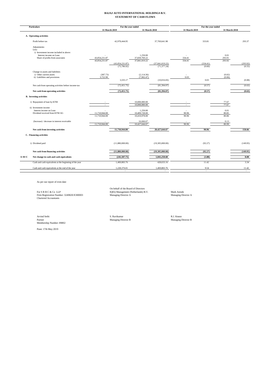#### **BAJAJ AUTO INTERNATIONAL HOLDINGS B.V. STATEMENT OF CASH FLOWS**

|         | <b>Particulars</b>                                                 |                                | For the year ended              |                                |                                    |                  | For the year ended |                  |                    |  |
|---------|--------------------------------------------------------------------|--------------------------------|---------------------------------|--------------------------------|------------------------------------|------------------|--------------------|------------------|--------------------|--|
|         |                                                                    |                                | 31 March 2019                   |                                | 31 March 2018                      |                  | 31 March 2019      |                  | 31 March 2018      |  |
|         | A. Operating activities                                            |                                |                                 |                                |                                    |                  |                    |                  |                    |  |
|         | Profit before tax                                                  |                                | 42.978.444.95                   |                                | 37,769,641.98                      |                  | 333.81             |                  | 293.37             |  |
|         | Adjustments:<br>Less:                                              |                                |                                 |                                |                                    |                  |                    |                  |                    |  |
|         | i) Investment income included in above:<br>Interest income on Loan |                                |                                 | 1,250.00                       |                                    |                  |                    | 0.01             |                    |  |
|         | Share of profits from associates                                   | 43,054,231.87<br>43.054.231.87 |                                 | 37,839,769.22<br>37,841,019.22 |                                    | 334.41<br>334.41 |                    | 293.91<br>293.92 |                    |  |
|         |                                                                    |                                | (43,054,231.87)<br>(75, 786.92) |                                | (37, 841, 019.22)<br>(71, 377, 24) |                  | (334.41)<br>(0.60) |                  | (293.92)<br>(0.55) |  |
|         | Change in assets and liabilities                                   |                                |                                 |                                |                                    |                  |                    |                  |                    |  |
|         | i) Other current assets                                            | (387.73)                       |                                 | (2,114.36)                     |                                    |                  |                    | (0.02)           |                    |  |
|         | ii) Liabilities and provisions                                     | 3,722.90                       | 3,335.17                        | (7,902.47)                     | (10,016.83)                        | 0.03             | 0.03               | (0.06)           | (0.08)             |  |
|         | Net cash from operating activities before income-tax               |                                | (72, 451.75)                    |                                | (81, 394.07)                       |                  | (0.57)             |                  | (0.63)             |  |
|         | Net cash from operating activities                                 |                                | (72, 451, 75)                   |                                | (81, 394.07)                       |                  | (0.57)             |                  | (0.63)             |  |
|         | <b>B.</b> Investing activities                                     |                                |                                 |                                |                                    |                  |                    |                  |                    |  |
|         | i) Repayment of loan by KTM                                        | a.                             |                                 | 10,000,000.00<br>10,000,000.00 |                                    | $\sim$           |                    | 77.67<br>77.67   |                    |  |
|         | ii) Investment income                                              |                                |                                 |                                |                                    |                  |                    |                  |                    |  |
|         | Interest income on Loan<br>Dividend received from KTM AG           | 11,710,944.00                  |                                 | 1,250.00<br>10,409,728.00      |                                    | 90.96            |                    | 0.01<br>80.85    |                    |  |
|         |                                                                    | 11.710.944.00                  |                                 | 10,410,978.00                  |                                    | 90.96            |                    | 80.86            |                    |  |
|         | (Increase) / decrease in interest receivable                       | 11,710,944.00                  |                                 | 16,666.67<br>10,427,644.67     |                                    | 90.96            |                    | 0.13<br>80.99    |                    |  |
|         | Net cash from investing activities                                 |                                | 11,710,944.00                   |                                | 20,427,644.67                      |                  | 90.96              |                  | 158.66             |  |
|         | C. Financing activities                                            |                                |                                 |                                |                                    |                  |                    |                  |                    |  |
|         |                                                                    |                                |                                 |                                |                                    |                  |                    |                  |                    |  |
|         | i) Dividend paid                                                   |                                | (11,880,000.00)                 |                                | (19,305,000.00)                    |                  | (92.27)            |                  | (149.95)           |  |
|         | Net cash from financing activities                                 |                                | (11,880,000.00)                 |                                | (19,305,000.00)                    |                  | (92.27)            |                  | (149.95)           |  |
| $A+B+C$ | Net change in cash and cash equivalents                            |                                | (241, 507, 75)                  |                                | 1,041,250.60                       |                  | (1.88)             |                  | 8.08               |  |
|         | Cash and cash equivalents at the beginning of the year             |                                | 1,469,883.76                    |                                | 428,633.16                         |                  | 11.42              |                  | 3.34               |  |
|         | Cash and cash equivalents at the end of the year                   |                                | 1,228,376.01                    |                                | 1.469.883.76                       |                  | 9.54               |                  | 11.42              |  |
|         |                                                                    |                                | ٠                               |                                |                                    |                  | ٠                  |                  |                    |  |

As per our report of even date

For S R B C & Co LLP IQEQ Management (Netherlands) B.V. Mark Arends Mark Arends (Netherlands) and Managing Director A Managing Director A Managing Director A<br>Firm Registration Number: 324982E/E300003 Managing Director A (N

On behalf of the Board of Directors<br>IQEQ Management (Netherlands) B.V.<br>Managing Director A

Arvind Sethi R.J. Knunz<br>Partner Managing Director B Managing Director B Managing Director B Managing Director B<br>Membership Number: 89802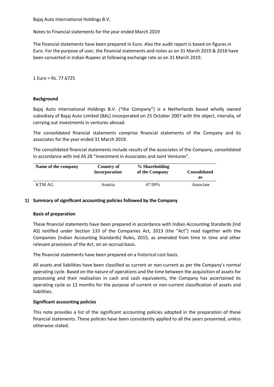Notes to Financial statements for the year ended March 2019

The financial statements have been prepared in Euro. Also the audit report is based on figures in Euro. For the purpose of user, the financial statements and notes as on 31 March 2019 & 2018 have been converted in Indian Rupees at following exchange rate as on 31 March 2019.

1 Euro = Rs. 77.6725

### **Background**

Bajaj Auto International Holdings B.V. ("the Company") is a Netherlands based wholly owned subsidiary of Bajaj Auto Limited (BAL) incorporated on 25 October 2007 with the object, interalia, of carrying out investments in ventures abroad.

The consolidated financial statements comprise financial statements of the Company and its associates for the year ended 31 March 2019.

The consolidated financial statements include results of the associates of the Company, consolidated in accordance with Ind AS 28 "Investment in Associates and Joint Ventures".

| Name of the company | Country of<br>Incorporation | % Shareholding<br>of the Company | <b>Consolidated</b> |
|---------------------|-----------------------------|----------------------------------|---------------------|
|                     |                             |                                  | as                  |
| KTM AG              | Austria                     | 47.99%                           | Associate           |

### **1) Summary of significant accounting policies followed by the Company**

### **Basis of preparation**

These financial statements have been prepared in accordance with Indian Accounting Standards (Ind AS) notified under Section 133 of the Companies Act, 2013 (the "Act") read together with the Companies (Indian Accounting Standards) Rules, 2015, as amended from time to time and other relevant provisions of the Act, on an accrual basis.

The financial statements have been prepared on a historical cost basis.

All assets and liabilities have been classified as current or non-current as per the Company's normal operating cycle. Based on the nature of operations and the time between the acquisition of assets for processing and their realisation in cash and cash equivalents, the Company has ascertained its operating cycle as 12 months for the purpose of current or non-current classification of assets and liabilities.

### **Significant accounting policies**

This note provides a list of the significant accounting policies adopted in the preparation of these financial statements. These policies have been consistently applied to all the years presented, unless otherwise stated.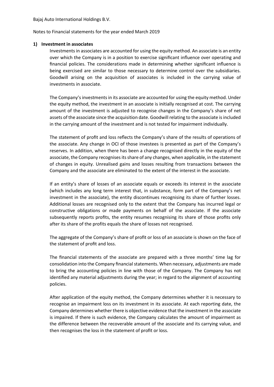Notes to Financial statements for the year ended March 2019

### **1) Investment in associates**

Investments in associates are accounted for using the equity method. An associate is an entity over which the Company is in a position to exercise significant influence over operating and financial policies. The considerations made in determining whether significant influence is being exercised are similar to those necessary to determine control over the subsidiaries. Goodwill arising on the acquisition of associates is included in the carrying value of investments in associate.

The Company's investments in its associate are accounted for using the equity method. Under the equity method, the investment in an associate is initially recognised at cost. The carrying amount of the investment is adjusted to recognise changes in the Company's share of net assets of the associate since the acquisition date. Goodwill relating to the associate is included in the carrying amount of the investment and is not tested for impairment individually.

The statement of profit and loss reflects the Company's share of the results of operations of the associate. Any change in OCI of those investees is presented as part of the Company's reserves. In addition, when there has been a change recognised directly in the equity of the associate, the Company recognises its share of any changes, when applicable, in the statement of changes in equity. Unrealised gains and losses resulting from transactions between the Company and the associate are eliminated to the extent of the interest in the associate.

If an entity's share of losses of an associate equals or exceeds its interest in the associate (which includes any long term interest that, in substance, form part of the Company's net investment in the associate), the entity discontinues recognising its share of further losses. Additional losses are recognised only to the extent that the Company has incurred legal or constructive obligations or made payments on behalf of the associate. If the associate subsequently reports profits, the entity resumes recognising its share of those profits only after its share of the profits equals the share of losses not recognised.

The aggregate of the Company's share of profit or loss of an associate is shown on the face of the statement of profit and loss.

The financial statements of the associate are prepared with a three months' time lag for consolidation into the Company financial statements. When necessary, adjustments are made to bring the accounting policies in line with those of the Company. The Company has not identified any material adjustments during the year; in regard to the alignment of accounting policies.

After application of the equity method, the Company determines whether it is necessary to recognise an impairment loss on its investment in its associate. At each reporting date, the Company determines whether there is objective evidence that the investment in the associate is impaired. If there is such evidence, the Company calculates the amount of impairment as the difference between the recoverable amount of the associate and its carrying value, and then recognises the loss in the statement of profit or loss.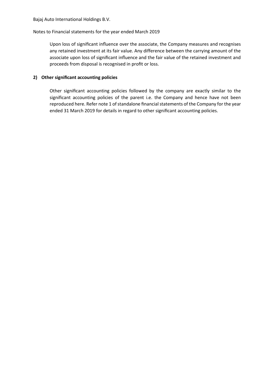Upon loss of significant influence over the associate, the Company measures and recognises any retained investment at its fair value. Any difference between the carrying amount of the associate upon loss of significant influence and the fair value of the retained investment and proceeds from disposal is recognised in profit or loss.

### **2) Other significant accounting policies**

Other significant accounting policies followed by the company are exactly similar to the significant accounting policies of the parent i.e. the Company and hence have not been reproduced here. Refer note 1 of standalone financial statements of the Company for the year ended 31 March 2019 for details in regard to other significant accounting policies.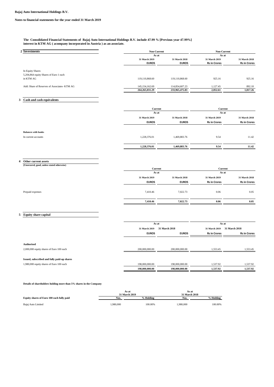**The Consolidated Financial Statements of Bajaj Auto International Holdings B.V. include 47.99 % [Previous year 47.99%] interest in KTM AG ( acompany incorporated in Austria ) as an associate.**

| 2 Investments                                                                           | Non-Current            | Non-Current    |                        |                     |  |
|-----------------------------------------------------------------------------------------|------------------------|----------------|------------------------|---------------------|--|
|                                                                                         | As at                  |                | As at                  |                     |  |
|                                                                                         | 31 March 2019          | 31 March 2018  | 31 March 2019          | 31 March 2018       |  |
|                                                                                         | <b>EUROS</b>           | <b>EUROS</b>   | <b>Rs in Crores</b>    | <b>Rs in Crores</b> |  |
| In Equity Shares                                                                        |                        |                |                        |                     |  |
| 5,204,864 equity Shares of Euro 1 each                                                  |                        |                |                        |                     |  |
| in KTM AG                                                                               | 119,110,868.60         | 119,110,868.60 | 925.16                 | 925.16              |  |
| Add: Share of Reserves of Associates- KTM AG                                            | 145, 154, 162.69       | 114,854,607.23 | 1,127.45               | 892.10              |  |
|                                                                                         | 264, 265, 031.29       | 233,965,475.83 | 2,052.61               | 1,817.26            |  |
| Cash and cash equivalents<br>3                                                          |                        |                |                        |                     |  |
|                                                                                         |                        |                |                        |                     |  |
|                                                                                         | Current                |                |                        | Current             |  |
|                                                                                         | As at<br>31 March 2019 | 31 March 2018  | As at<br>31 March 2019 | 31 March 2018       |  |
|                                                                                         | <b>EUROS</b>           | <b>EUROS</b>   | <b>Rs in Crores</b>    | <b>Rs in Crores</b> |  |
|                                                                                         |                        |                |                        |                     |  |
| <b>Balances with banks</b>                                                              |                        |                |                        |                     |  |
| In current accounts                                                                     | 1,228,376.01           | 1,469,883.76   | 9.54                   | 11.42               |  |
|                                                                                         | 1,228,376.01           | 1,469,883.76   | 9.54                   | 11.42               |  |
|                                                                                         |                        |                |                        |                     |  |
|                                                                                         |                        |                |                        |                     |  |
| Other current assets<br>4                                                               |                        |                |                        |                     |  |
| (Unsecured, good, unless stated otherwise)                                              | Current                |                |                        | Current             |  |
|                                                                                         | As at                  |                | As at                  |                     |  |
|                                                                                         | 31 March 2019          | 31 March 2018  | 31 March 2019          | 31 March 2018       |  |
|                                                                                         | <b>EUROS</b>           | <b>EUROS</b>   | <b>Rs in Crores</b>    | <b>Rs in Crores</b> |  |
| Prepaid expenses                                                                        | 7,410.46               | 7,022.73       | 0.06                   | 0.05                |  |
|                                                                                         |                        |                |                        |                     |  |
|                                                                                         | 7,410.46               | 7,022.73       | 0.06                   | 0.05                |  |
|                                                                                         |                        |                |                        |                     |  |
| 5<br><b>Equity share capital</b>                                                        |                        |                |                        |                     |  |
|                                                                                         | As at                  |                | As at                  |                     |  |
|                                                                                         | 31 March 2019          | 31 March 2018  | 31 March 2019          | 31 March 2018       |  |
|                                                                                         | <b>EUROS</b>           | <b>EUROS</b>   | <b>Rs in Crores</b>    | <b>Rs in Crores</b> |  |
|                                                                                         |                        |                |                        |                     |  |
| <b>Authorised</b>                                                                       |                        |                |                        |                     |  |
|                                                                                         |                        |                |                        |                     |  |
| 2,000,000 equity shares of Euro 100 each                                                | 200,000,000.00         | 200,000,000.00 | 1,553.45               | 1,553.45            |  |
|                                                                                         |                        |                |                        |                     |  |
| Issued, subscribed and fully paid-up shares<br>1,980,000 equity shares of Euro 100 each | 198,000,000.00         | 198,000,000.00 | 1,537.92               | 1,537.92            |  |

**Details of shareholders holding more than 5% shares in the Company**

|                                           | As at         |           | As at         |           |
|-------------------------------------------|---------------|-----------|---------------|-----------|
|                                           | 31 March 2019 |           | 31 March 2018 |           |
| Equity shares of Euro 100 each fully paid | Nos.          | % Holding | Nos.          | % Holding |
| Bajaj Auto Limited                        | 1.980.000     | 100.00%   | .980.000      | 100.00%   |
|                                           |               |           |               |           |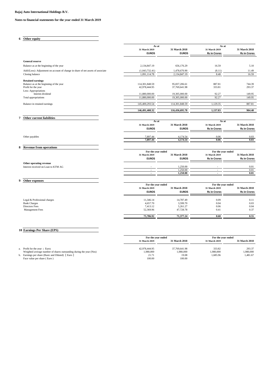### **Notes to financial statements for the year ended 31 March 2019**

| 6 | Other equity                                                                    |                                |                                |                          |                     |
|---|---------------------------------------------------------------------------------|--------------------------------|--------------------------------|--------------------------|---------------------|
|   |                                                                                 | As at<br>31 March 2019         | 31 March 2018                  | As at<br>31 March 2019   | 31 March 2018       |
|   |                                                                                 | <b>EUROS</b>                   | <b>EUROS</b>                   | <b>Rs in Crores</b>      | <b>Rs in Crores</b> |
|   | <b>General reserve</b>                                                          |                                |                                |                          |                     |
|   | Balance as at the beginning of the year                                         | 2,134,847.19                   | 656,176.29                     | 16.59                    | 5.10                |
|   | Add/(Less): Adjustment on account of change in share of net assets of associate | (1,043,732.41)                 | 1,478,670.90                   | (8.11)                   | 11.49               |
|   | Closing balance                                                                 | 1,091,114.78                   | 2,134,847.19                   | 8.48                     | 16.59               |
|   |                                                                                 |                                |                                |                          |                     |
|   | <b>Retained earnings</b><br>Balance as at the beginning of the year             | 114,301,848.59                 | 95,837,206.61                  | 887.81                   | 744.39              |
|   | Profit for the year                                                             | 42,978,444.95                  | 37,769,641.98                  | 333.81                   | 293.37              |
|   | Less: Appropriations                                                            |                                |                                |                          |                     |
|   | Interim dividend                                                                | 11,880,000.00<br>11,880,000.00 | 19,305,000.00<br>19,305,000.00 | 92.27<br>92.27           | 149.95<br>149.95    |
|   | Total appropriations                                                            |                                |                                |                          |                     |
|   | Balance in retained earnings                                                    | 145,400,293.54                 | 114,301,848.59                 | 1,129.35                 | 887.81              |
|   |                                                                                 | 146,491,408.32                 | 116,436,695.78                 | 1,137.83                 | 904.40              |
|   |                                                                                 |                                |                                |                          |                     |
| 7 | <b>Other current liabilities</b>                                                |                                |                                |                          |                     |
|   |                                                                                 | As at<br>31 March 2019         | 31 March 2018                  | As at<br>31 March 2019   | 31 March 2018       |
|   |                                                                                 | <b>EUROS</b>                   | <b>EUROS</b>                   | <b>Rs in Crores</b>      | <b>Rs in Crores</b> |
|   |                                                                                 |                                |                                |                          |                     |
|   | Other payables                                                                  | 7,897.44                       | 4,174.54                       | 0.06                     | 0.03                |
|   |                                                                                 | 7,897.44                       | 4,174.54                       | 0.06                     | 0.03                |
| 8 | <b>Revenue from operations</b>                                                  |                                |                                |                          |                     |
|   |                                                                                 | For the year ended             |                                | For the year ended       |                     |
|   |                                                                                 | 31 March 2019                  | 31 March 2018                  | 31 March 2019            | 31 March 2018       |
|   |                                                                                 | <b>EUROS</b>                   | <b>EUROS</b>                   | <b>Rs in Crores</b>      | <b>Rs in Crores</b> |
|   | Other operating revenue<br>Interest received on Loan to KTM AG                  |                                | 1,250.00                       |                          | 0.01                |
|   |                                                                                 |                                | 1.250.00                       | $\bar{a}$                | 0.01                |
|   |                                                                                 | ÷,                             | 1,250.00                       | $\overline{\phantom{a}}$ | 0.01                |
| 9 |                                                                                 |                                |                                |                          |                     |
|   | Other expenses                                                                  | For the year ended             |                                | For the year ended       |                     |
|   |                                                                                 | 31 March 2019                  | 31 March 2018                  | 31 March 2019            | 31 March 2018       |
|   |                                                                                 | <b>EUROS</b>                   | <b>EUROS</b>                   | <b>Rs in Crores</b>      | <b>Rs in Crores</b> |
|   |                                                                                 |                                |                                |                          |                     |
|   | Legal & Professional charges<br><b>Bank Charges</b>                             | 11,346.14<br>4,657.70          | 14,787.49<br>3,599.70          | 0.09<br>0.04             | 0.11<br>0.03        |
|   | <b>Directors Fees</b>                                                           | 7,413.12                       | 5,261.27                       | 0.06                     | 0.04                |
|   | Management Fees                                                                 | 52,369.96                      | 47,728.78                      | 0.41                     | 0.37                |
|   |                                                                                 | 75,786.92                      | 71,377.24                      | 0.60                     | 0.55                |
|   |                                                                                 |                                |                                |                          |                     |
|   |                                                                                 |                                |                                |                          |                     |
|   | 10 Earnings Per Share (EPS)                                                     |                                |                                |                          |                     |
|   |                                                                                 |                                |                                |                          |                     |

|                                                                     | For the year ended             |               | For the year ended |               |
|---------------------------------------------------------------------|--------------------------------|---------------|--------------------|---------------|
|                                                                     | 31 March 2018<br>31 March 2019 |               | 31 March 2019      | 31 March 2018 |
|                                                                     |                                |               |                    |               |
| a. Profit for the year (Euro)                                       | 42,978,444.95                  | 37,769,641.98 | 333.82             | 293.37        |
| Weighted average number of shares outstanding during the year (Nos) | 1.980.000                      | 1.980.000     | 1.980.000          | 1,980,000     |
| Earnings per share (Basic and Diluted) [Euro]                       | 21.71                          | 19.08         | 1.685.96           | 1.481.67      |
| Face value per share (Euro)                                         | 100.00                         | 100.00        |                    |               |
|                                                                     |                                |               |                    |               |